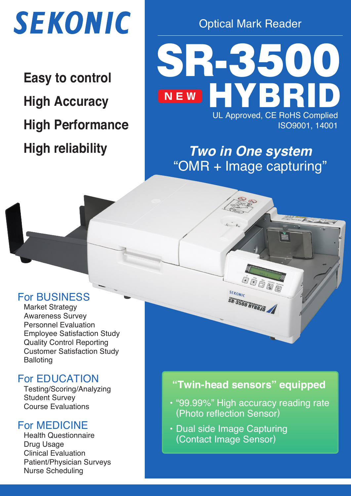

**Easy to control High Accuracy High Performance High reliability**

Optical Mark Reader

SR-3500 H YBRID UL Approved, CE RoHS Complied ISO9001, 14001 **N E W**

**Two in One system** "OMR + Image capturing"

# For BUSINESS

Market Strategy Awareness Survey Personnel Evaluation Employee Satisfaction Study Quality Control Reporting Customer Satisfaction Study **Balloting** 

# For EDUCATION

Testing/Scoring/Analyzing Student Survey Course Evaluations

# For MEDICINE

Health Questionnaire Drug Usage Clinical Evaluation Patient/Physician Surveys Nurse Scheduling

# **"Twin-head sensors" equipped**

SEKONIC

SR-3500 HYBRID

- ・"99.99%" High accuracy reading rate (Photo reflection Sensor)
- ・Dual side Image Capturing (Contact Image Sensor)